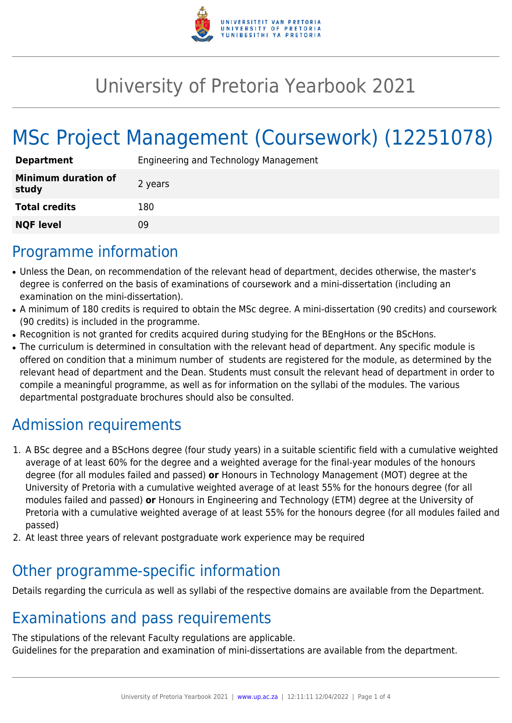

# University of Pretoria Yearbook 2021

# MSc Project Management (Coursework) (12251078)

| <b>Department</b>                   | Engineering and Technology Management |
|-------------------------------------|---------------------------------------|
| <b>Minimum duration of</b><br>study | 2 years                               |
| <b>Total credits</b>                | 180                                   |
| <b>NQF level</b>                    | 09                                    |

#### Programme information

- Unless the Dean, on recommendation of the relevant head of department, decides otherwise, the master's degree is conferred on the basis of examinations of coursework and a mini-dissertation (including an examination on the mini-dissertation).
- A minimum of 180 credits is required to obtain the MSc degree. A mini-dissertation (90 credits) and coursework (90 credits) is included in the programme.
- Recognition is not granted for credits acquired during studying for the BEngHons or the BScHons.
- The curriculum is determined in consultation with the relevant head of department. Any specific module is offered on condition that a minimum number of students are registered for the module, as determined by the relevant head of department and the Dean. Students must consult the relevant head of department in order to compile a meaningful programme, as well as for information on the syllabi of the modules. The various departmental postgraduate brochures should also be consulted.

## Admission requirements

- 1. A BSc degree and a BScHons degree (four study years) in a suitable scientific field with a cumulative weighted average of at least 60% for the degree and a weighted average for the final-year modules of the honours degree (for all modules failed and passed) **or** Honours in Technology Management (MOT) degree at the University of Pretoria with a cumulative weighted average of at least 55% for the honours degree (for all modules failed and passed) **or** Honours in Engineering and Technology (ETM) degree at the University of Pretoria with a cumulative weighted average of at least 55% for the honours degree (for all modules failed and passed)
- 2. At least three years of relevant postgraduate work experience may be required

#### Other programme-specific information

Details regarding the curricula as well as syllabi of the respective domains are available from the Department.

### Examinations and pass requirements

The stipulations of the relevant Faculty regulations are applicable. Guidelines for the preparation and examination of mini-dissertations are available from the department.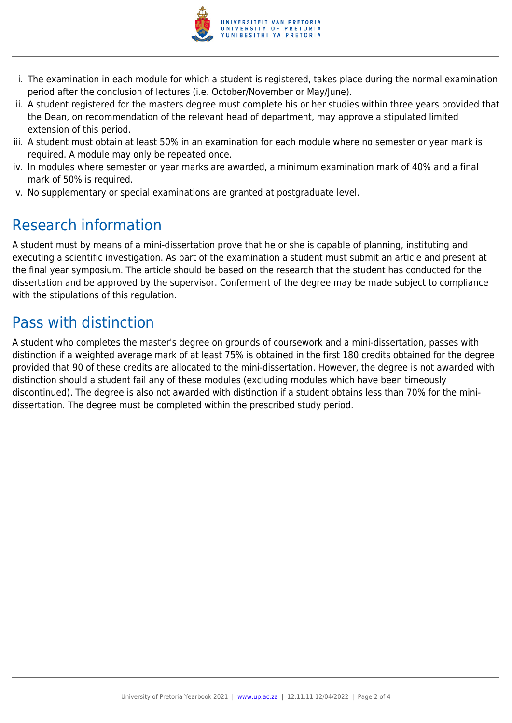

- i. The examination in each module for which a student is registered, takes place during the normal examination period after the conclusion of lectures (i.e. October/November or May/June).
- ii. A student registered for the masters degree must complete his or her studies within three years provided that the Dean, on recommendation of the relevant head of department, may approve a stipulated limited extension of this period.
- iii. A student must obtain at least 50% in an examination for each module where no semester or year mark is required. A module may only be repeated once.
- iv. In modules where semester or year marks are awarded, a minimum examination mark of 40% and a final mark of 50% is required.
- v. No supplementary or special examinations are granted at postgraduate level.

## Research information

A student must by means of a mini-dissertation prove that he or she is capable of planning, instituting and executing a scientific investigation. As part of the examination a student must submit an article and present at the final year symposium. The article should be based on the research that the student has conducted for the dissertation and be approved by the supervisor. Conferment of the degree may be made subject to compliance with the stipulations of this regulation.

### Pass with distinction

A student who completes the master's degree on grounds of coursework and a mini-dissertation, passes with distinction if a weighted average mark of at least 75% is obtained in the first 180 credits obtained for the degree provided that 90 of these credits are allocated to the mini-dissertation. However, the degree is not awarded with distinction should a student fail any of these modules (excluding modules which have been timeously discontinued). The degree is also not awarded with distinction if a student obtains less than 70% for the minidissertation. The degree must be completed within the prescribed study period.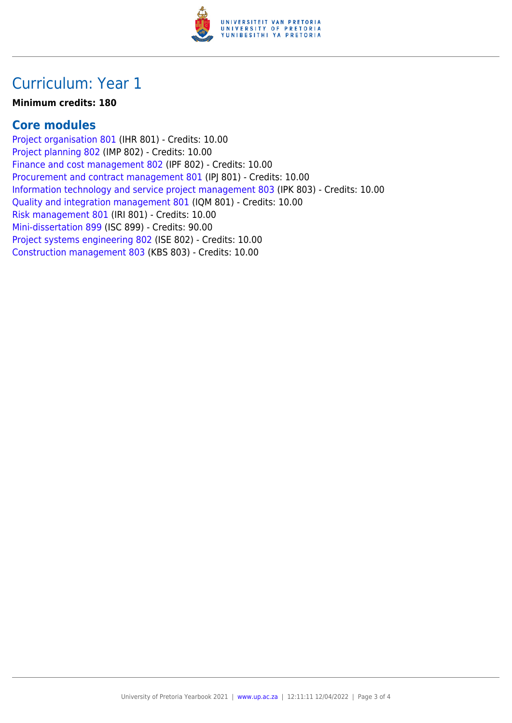

#### Curriculum: Year 1

#### **Minimum credits: 180**

#### **Core modules**

[Project organisation 801](https://www.up.ac.za/parents/yearbooks/2021/modules/view/IHR 801) (IHR 801) - Credits: 10.00 [Project planning 802](https://www.up.ac.za/parents/yearbooks/2021/modules/view/IMP 802) (IMP 802) - Credits: 10.00 [Finance and cost management 802](https://www.up.ac.za/parents/yearbooks/2021/modules/view/IPF 802) (IPF 802) - Credits: 10.00 [Procurement and contract management 801](https://www.up.ac.za/parents/yearbooks/2021/modules/view/IPJ 801) (IPJ 801) - Credits: 10.00 [Information technology and service project management 803](https://www.up.ac.za/parents/yearbooks/2021/modules/view/IPK 803) (IPK 803) - Credits: 10.00 [Quality and integration management 801](https://www.up.ac.za/parents/yearbooks/2021/modules/view/IQM 801) (IQM 801) - Credits: 10.00 [Risk management 801](https://www.up.ac.za/parents/yearbooks/2021/modules/view/IRI 801) (IRI 801) - Credits: 10.00 [Mini-dissertation 899](https://www.up.ac.za/parents/yearbooks/2021/modules/view/ISC 899) (ISC 899) - Credits: 90.00 [Project systems engineering 802](https://www.up.ac.za/parents/yearbooks/2021/modules/view/ISE 802) (ISE 802) - Credits: 10.00 [Construction management 803](https://www.up.ac.za/parents/yearbooks/2021/modules/view/KBS 803) (KBS 803) - Credits: 10.00